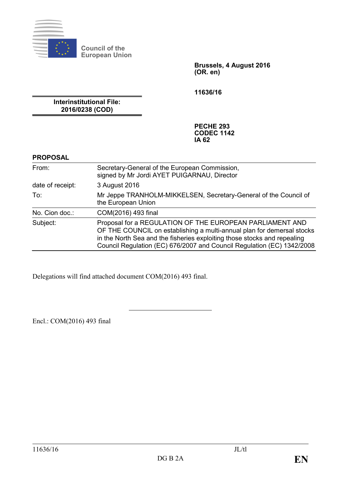

**Council of the European Union**

> **Brussels, 4 August 2016 (OR. en)**

**11636/16**

**Interinstitutional File: 2016/0238 (COD)**

> **PECHE 293 CODEC 1142 IA 62**

## **PROPOSAL**

| From:            | Secretary-General of the European Commission,<br>signed by Mr Jordi AYET PUIGARNAU, Director                                                                                                                                                                                             |
|------------------|------------------------------------------------------------------------------------------------------------------------------------------------------------------------------------------------------------------------------------------------------------------------------------------|
| date of receipt: | 3 August 2016                                                                                                                                                                                                                                                                            |
| To:              | Mr Jeppe TRANHOLM-MIKKELSEN, Secretary-General of the Council of<br>the European Union                                                                                                                                                                                                   |
| No. Cion doc.:   | COM(2016) 493 final                                                                                                                                                                                                                                                                      |
| Subject:         | Proposal for a REGULATION OF THE EUROPEAN PARLIAMENT AND<br>OF THE COUNCIL on establishing a multi-annual plan for demersal stocks<br>in the North Sea and the fisheries exploiting those stocks and repealing<br>Council Regulation (EC) 676/2007 and Council Regulation (EC) 1342/2008 |

Delegations will find attached document COM(2016) 493 final.

Encl.: COM(2016) 493 final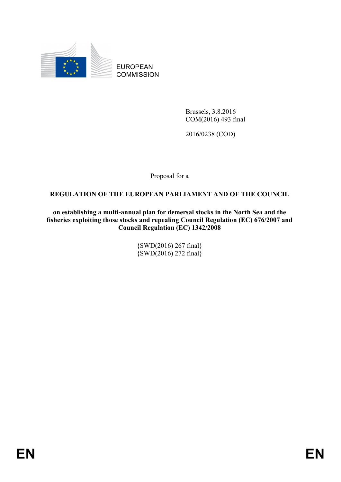

EUROPEAN **COMMISSION** 

> Brussels, 3.8.2016 COM(2016) 493 final

2016/0238 (COD)

Proposal for a

## **REGULATION OF THE EUROPEAN PARLIAMENT AND OF THE COUNCIL**

**on establishing a multi-annual plan for demersal stocks in the North Sea and the fisheries exploiting those stocks and repealing Council Regulation (EC) 676/2007 and Council Regulation (EC) 1342/2008**

> {SWD(2016) 267 final} {SWD(2016) 272 final}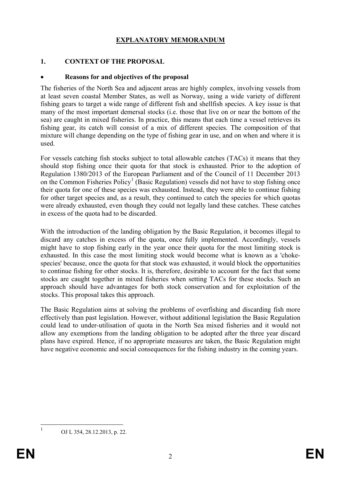## **EXPLANATORY MEMORANDUM**

## **1. CONTEXT OF THE PROPOSAL**

### • **Reasons for and objectives of the proposal**

The fisheries of the North Sea and adjacent areas are highly complex, involving vessels from at least seven coastal Member States, as well as Norway, using a wide variety of different fishing gears to target a wide range of different fish and shellfish species. A key issue is that many of the most important demersal stocks (i.e. those that live on or near the bottom of the sea) are caught in mixed fisheries. In practice, this means that each time a vessel retrieves its fishing gear, its catch will consist of a mix of different species. The composition of that mixture will change depending on the type of fishing gear in use, and on when and where it is used.

For vessels catching fish stocks subject to total allowable catches (TACs) it means that they should stop fishing once their quota for that stock is exhausted. Prior to the adoption of Regulation 1380/2013 of the European Parliament and of the Council of 11 December 2013 on the Common Fisheries Policy<sup>[1](#page-2-0)</sup> (Basic Regulation) vessels did not have to stop fishing once their quota for one of these species was exhausted. Instead, they were able to continue fishing for other target species and, as a result, they continued to catch the species for which quotas were already exhausted, even though they could not legally land these catches. These catches in excess of the quota had to be discarded.

With the introduction of the landing obligation by the Basic Regulation, it becomes illegal to discard any catches in excess of the quota, once fully implemented. Accordingly, vessels might have to stop fishing early in the year once their quota for the most limiting stock is exhausted. In this case the most limiting stock would become what is known as a 'chokespecies' because, once the quota for that stock was exhausted, it would block the opportunities to continue fishing for other stocks. It is, therefore, desirable to account for the fact that some stocks are caught together in mixed fisheries when setting TACs for these stocks. Such an approach should have advantages for both stock conservation and for exploitation of the stocks. This proposal takes this approach.

The Basic Regulation aims at solving the problems of overfishing and discarding fish more effectively than past legislation. However, without additional legislation the Basic Regulation could lead to under-utilisation of quota in the North Sea mixed fisheries and it would not allow any exemptions from the landing obligation to be adopted after the three year discard plans have expired. Hence, if no appropriate measures are taken, the Basic Regulation might have negative economic and social consequences for the fishing industry in the coming years.

<span id="page-2-0"></span>

 $1$  OJ L 354, 28, 12, 2013, p. 22.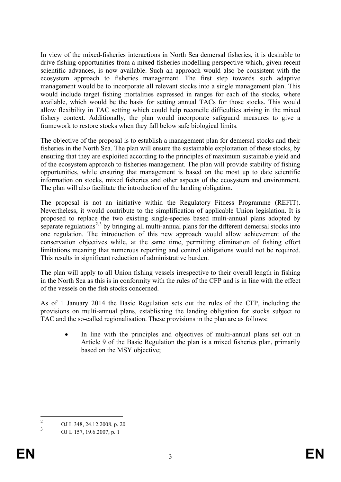In view of the mixed-fisheries interactions in North Sea demersal fisheries, it is desirable to drive fishing opportunities from a mixed-fisheries modelling perspective which, given recent scientific advances, is now available. Such an approach would also be consistent with the ecosystem approach to fisheries management. The first step towards such adaptive management would be to incorporate all relevant stocks into a single management plan. This would include target fishing mortalities expressed in ranges for each of the stocks, where available, which would be the basis for setting annual TACs for those stocks. This would allow flexibility in TAC setting which could help reconcile difficulties arising in the mixed fishery context. Additionally, the plan would incorporate safeguard measures to give a framework to restore stocks when they fall below safe biological limits.

The objective of the proposal is to establish a management plan for demersal stocks and their fisheries in the North Sea. The plan will ensure the sustainable exploitation of these stocks, by ensuring that they are exploited according to the principles of maximum sustainable yield and of the ecosystem approach to fisheries management. The plan will provide stability of fishing opportunities, while ensuring that management is based on the most up to date scientific information on stocks, mixed fisheries and other aspects of the ecosystem and environment. The plan will also facilitate the introduction of the landing obligation.

The proposal is not an initiative within the Regulatory Fitness Programme (REFIT). Nevertheless, it would contribute to the simplification of applicable Union legislation. It is proposed to replace the two existing single-species based multi-annual plans adopted by separate regulations<sup>[2](#page-3-0),[3](#page-3-1)</sup> by bringing all multi-annual plans for the different demersal stocks into one regulation. The introduction of this new approach would allow achievement of the conservation objectives while, at the same time, permitting elimination of fishing effort limitations meaning that numerous reporting and control obligations would not be required. This results in significant reduction of administrative burden.

The plan will apply to all Union fishing vessels irrespective to their overall length in fishing in the North Sea as this is in conformity with the rules of the CFP and is in line with the effect of the vessels on the fish stocks concerned.

As of 1 January 2014 the Basic Regulation sets out the rules of the CFP, including the provisions on multi-annual plans, establishing the landing obligation for stocks subject to TAC and the so-called regionalisation. These provisions in the plan are as follows:

• In line with the principles and objectives of multi-annual plans set out in Article 9 of the Basic Regulation the plan is a mixed fisheries plan, primarily based on the MSY objective;

<span id="page-3-1"></span><span id="page-3-0"></span><sup>&</sup>lt;sup>2</sup> OJ L 348, 24.12.2008, p. 20<sup>3</sup>

<sup>3</sup> OJ L 157, 19.6.2007, p. 1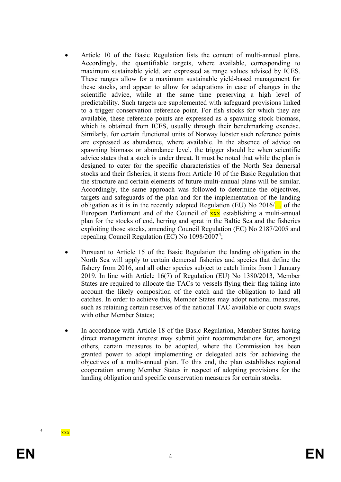- Article 10 of the Basic Regulation lists the content of multi-annual plans. Accordingly, the quantifiable targets, where available, corresponding to maximum sustainable yield, are expressed as range values advised by ICES. These ranges allow for a maximum sustainable yield-based management for these stocks, and appear to allow for adaptations in case of changes in the scientific advice, while at the same time preserving a high level of predictability. Such targets are supplemented with safeguard provisions linked to a trigger conservation reference point. For fish stocks for which they are available, these reference points are expressed as a spawning stock biomass, which is obtained from ICES, usually through their benchmarking exercise. Similarly, for certain functional units of Norway lobster such reference points are expressed as abundance, where available. In the absence of advice on spawning biomass or abundance level, the trigger should be when scientific advice states that a stock is under threat. It must be noted that while the plan is designed to cater for the specific characteristics of the North Sea demersal stocks and their fisheries, it stems from Article 10 of the Basic Regulation that the structure and certain elements of future multi-annual plans will be similar. Accordingly, the same approach was followed to determine the objectives, targets and safeguards of the plan and for the implementation of the landing obligation as it is in the recently adopted Regulation (EU) No  $2016/\ldots$  of the European Parliament and of the Council of **xxx** establishing a multi-annual plan for the stocks of cod, herring and sprat in the Baltic Sea and the fisheries exploiting those stocks, amending Council Regulation (EC) No 2187/2005 and repealing Council Regulation (EC) No 1098/2007<sup>[4](#page-4-0)</sup>;
- Pursuant to Article 15 of the Basic Regulation the landing obligation in the North Sea will apply to certain demersal fisheries and species that define the fishery from 2016, and all other species subject to catch limits from 1 January 2019. In line with Article 16(7) of Regulation (EU) No 1380/2013, Member States are required to allocate the TACs to vessels flying their flag taking into account the likely composition of the catch and the obligation to land all catches. In order to achieve this, Member States may adopt national measures, such as retaining certain reserves of the national TAC available or quota swaps with other Member States;
- In accordance with Article 18 of the Basic Regulation, Member States having direct management interest may submit joint recommendations for, amongst others, certain measures to be adopted, where the Commission has been granted power to adopt implementing or delegated acts for achieving the objectives of a multi-annual plan. To this end, the plan establishes regional cooperation among Member States in respect of adopting provisions for the landing obligation and specific conservation measures for certain stocks.

<span id="page-4-0"></span> $\overline{\textbf{XXX}}$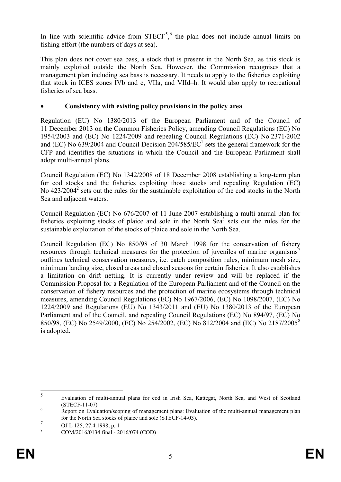In line with scientific advice from  $STECF<sup>5,6</sup>$  $STECF<sup>5,6</sup>$  $STECF<sup>5,6</sup>$  $STECF<sup>5,6</sup>$  $STECF<sup>5,6</sup>$  the plan does not include annual limits on fishing effort (the numbers of days at sea).

This plan does not cover sea bass, a stock that is present in the North Sea, as this stock is mainly exploited outside the North Sea. However, the Commission recognises that a management plan including sea bass is necessary. It needs to apply to the fisheries exploiting that stock in ICES zones IVb and c, VIIa, and VIId–h. It would also apply to recreational fisheries of sea bass.

## • **Consistency with existing policy provisions in the policy area**

Regulation (EU) No 1380/2013 of the European Parliament and of the Council of 11 December 2013 on the Common Fisheries Policy, amending Council Regulations (EC) No 1954/2003 and (EC) No 1224/2009 and repealing Council Regulations (EC) No 2371/2002 and (EC) No  $639/2004$  and Council Decision  $204/585/EC<sup>1</sup>$  sets the general framework for the CFP and identifies the situations in which the Council and the European Parliament shall adopt multi-annual plans.

Council Regulation (EC) No 1342/2008 of 18 December 2008 establishing a long-term plan for cod stocks and the fisheries exploiting those stocks and repealing Regulation (EC) No  $423/2004^2$  sets out the rules for the sustainable exploitation of the cod stocks in the North Sea and adjacent waters.

Council Regulation (EC) No 676/2007 of 11 June 2007 establishing a multi-annual plan for fisheries exploiting stocks of plaice and sole in the North  $\text{Seq}^3$  sets out the rules for the sustainable exploitation of the stocks of plaice and sole in the North Sea.

Council Regulation (EC) No 850/98 of 30 March 1998 for the conservation of fishery resources through technical measures for the protection of juveniles of marine organisms<sup>[7](#page-5-2)</sup> outlines technical conservation measures, i.e. catch composition rules, minimum mesh size, minimum landing size, closed areas and closed seasons for certain fisheries. It also establishes a limitation on drift netting. It is currently under review and will be replaced if the Commission Proposal for a Regulation of the European Parliament and of the Council on the conservation of fishery resources and the protection of marine ecosystems through technical measures, amending Council Regulations (EC) No 1967/2006, (EC) No 1098/2007, (EC) No 1224/2009 and Regulations (EU) No 1343/2011 and (EU) No 1380/2013 of the European Parliament and of the Council, and repealing Council Regulations (EC) No 894/97, (EC) No 850/98, (EC) No 2549/2000, (EC) No 254/2002, (EC) No 812/2004 and (EC) No 2187/2005[8](#page-5-3) is adopted.

<span id="page-5-0"></span> <sup>5</sup> [Evaluation of multi-annual plans for cod in Irish Sea, Kattegat, North Sea, and West of Scotland](https://stecf.jrc.ec.europa.eu/documents/43805/133326/2011-07_STECF+11-07+-+Evaluation+of+NSKTWoSIS+cod_JRC66051.pdf) 

<span id="page-5-1"></span>[<sup>\(</sup>STECF-11-07\)](https://stecf.jrc.ec.europa.eu/documents/43805/133326/2011-07_STECF+11-07+-+Evaluation+of+NSKTWoSIS+cod_JRC66051.pdf) <sup>6</sup> [Report on Evaluation/scoping of management plans: Evaluation of the multi-annual management plan](https://stecf.jrc.ec.europa.eu/documents/43805/704266/2014-04_STECF+14-03+-+NS+plaice+and+sole+management+plan_JRC89797.pdf)  [for the North Sea stocks of plaice and sole \(STECF-14-03\).](https://stecf.jrc.ec.europa.eu/documents/43805/704266/2014-04_STECF+14-03+-+NS+plaice+and+sole+management+plan_JRC89797.pdf)

<span id="page-5-2"></span> $7 \over 9 \over 10 \text{ J L} 125, 27.4.1998, p. 1$ 

<span id="page-5-3"></span><sup>8</sup> COM/2016/0134 final - 2016/074 (COD)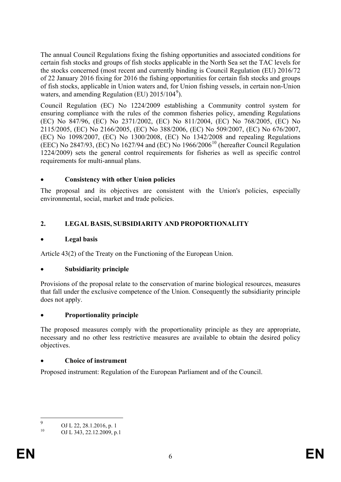The annual Council Regulations fixing the fishing opportunities and associated conditions for certain fish stocks and groups of fish stocks applicable in the North Sea set the TAC levels for the stocks concerned (most recent and currently binding is Council Regulation (EU) 2016/72 of 22 January 2016 fixing for 2016 the fishing opportunities for certain fish stocks and groups of fish stocks, applicable in Union waters and, for Union fishing vessels, in certain non-Union waters, and amending Regulation (EU) 2015/104<sup>[9](#page-6-0)</sup>).

Council Regulation (EC) No 1224/2009 establishing a Community control system for ensuring compliance with the rules of the common fisheries policy, amending Regulations (EC) No 847/96, (EC) No 2371/2002, (EC) No 811/2004, (EC) No 768/2005, (EC) No 2115/2005, (EC) No 2166/2005, (EC) No 388/2006, (EC) No 509/2007, (EC) No 676/2007, (EC) No 1098/2007, (EC) No 1300/2008, (EC) No 1342/2008 and repealing Regulations (EEC) No 2847/93, (EC) No 1627/94 and (EC) No 1966/2006<sup>[10](#page-6-1)</sup> (hereafter Council Regulation 1224/2009) sets the general control requirements for fisheries as well as specific control requirements for multi-annual plans.

## • **Consistency with other Union policies**

The proposal and its objectives are consistent with the Union's policies, especially environmental, social, market and trade policies.

## **2. LEGAL BASIS, SUBSIDIARITY AND PROPORTIONALITY**

## • **Legal basis**

Article 43(2) of the Treaty on the Functioning of the European Union.

## • **Subsidiarity principle**

Provisions of the proposal relate to the conservation of marine biological resources, measures that fall under the exclusive competence of the Union. Consequently the subsidiarity principle does not apply.

## • **Proportionality principle**

The proposed measures comply with the proportionality principle as they are appropriate, necessary and no other less restrictive measures are available to obtain the desired policy objectives.

## • **Choice of instrument**

Proposed instrument: Regulation of the European Parliament and of the Council.

<span id="page-6-0"></span> $^{9}$  OJ L 22, 28.1.2016, p. 1

<span id="page-6-1"></span><sup>10</sup> OJ L 343, 22.12.2009, p.1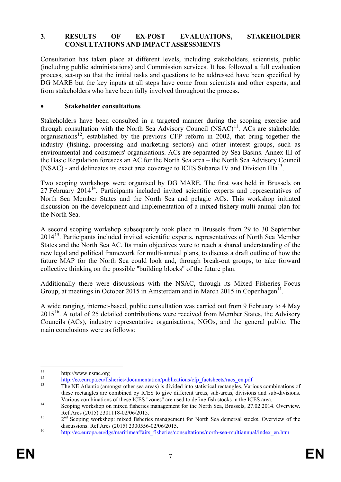### **3. RESULTS OF EX-POST EVALUATIONS, STAKEHOLDER CONSULTATIONS AND IMPACT ASSESSMENTS**

Consultation has taken place at different levels, including stakeholders, scientists, public (including public administations) and Commission services. It has followed a full evaluation process, set-up so that the initial tasks and questions to be addressed have been specified by DG MARE but the key inputs at all steps have come from scientists and other experts, and from stakeholders who have been fully involved throughout the process.

### • **Stakeholder consultations**

Stakeholders have been consulted in a targeted manner during the scoping exercise and through consultation with the North Sea Advisory Council  $(NSAC)^{11}$  $(NSAC)^{11}$  $(NSAC)^{11}$ . ACs are stakeholder organisations<sup>[12](#page-7-1)</sup>, established by the previous CFP reform in 2002, that bring together the industry (fishing, processing and marketing sectors) and other interest groups, such as environmental and consumers' organisations. ACs are separated by Sea Basins. Annex III of the Basic Regulation foresees an AC for the North Sea area – the North Sea Advisory Council (NSAC) - and delineates its exact area coverage to ICES Subarea IV and Division IIIa<sup>[13](#page-7-2)</sup>.

Two scoping workshops were organised by DG MARE. The first was held in Brussels on 27 February 20[14](#page-7-3)<sup>14</sup>. Participants included invited scientific experts and representatives of North Sea Member States and the North Sea and pelagic ACs. This workshop initiated discussion on the development and implementation of a mixed fishery multi-annual plan for the North Sea.

A second scoping workshop subsequently took place in Brussels from 29 to 30 September 2014<sup>[15](#page-7-4)</sup>. Participants included invited scientific experts, representatives of North Sea Member States and the North Sea AC. Its main objectives were to reach a shared understanding of the new legal and political framework for multi-annual plans, to discuss a draft outline of how the future MAP for the North Sea could look and, through break-out groups, to take forward collective thinking on the possible "building blocks" of the future plan.

Additionally there were discussions with the NSAC, through its Mixed Fisheries Focus Group, at meetings in October 2015 in Amsterdam and in March 2015 in Copenhagen<sup>11</sup>.

A wide ranging, internet-based, public consultation was carried out from 9 February to 4 May  $2015^{16}$  $2015^{16}$  $2015^{16}$ . A total of 25 detailed contributions were received from Member States, the Advisory Councils (ACs), industry representative organisations, NGOs, and the general public. The main conclusions were as follows:

<span id="page-7-2"></span>

<span id="page-7-1"></span><span id="page-7-0"></span><sup>11</sup> http://www.nsrac.org<br>
12 [http://ec.europa.eu/fisheries/documentation/publications/cfp\\_factsheets/racs\\_en.pdf](http://ec.europa.eu/fisheries/documentation/publications/cfp_factsheets/racs_en.pdf)<br>
13 The NE Atlantic (amongst other sea areas) is divided into statistical rectangles. Various combinations of these rectangles are combined by ICES to give different areas, sub-areas, divisions and sub-divisions.

<span id="page-7-3"></span>Various combinations of these ICES "zones" are used to define fish stocks in the ICES area.<br>Scoping workshop on mixed fisheries management for the North Sea, Brussels, 27.02.2014. Overview.<br>Ref.Ares (2015) 2301118-02/06/20

<span id="page-7-4"></span> $2<sup>nd</sup>$  Scoping workshop: mixed fisheries management for North Sea demersal stocks. Overview of the discussions. Ref.Ares (2015) 2300556-02/06/2015.

<span id="page-7-5"></span>discussions. Ref.ares (2015) 2300666-02/06/2016.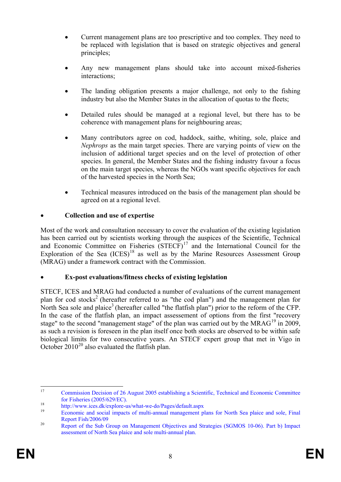- Current management plans are too prescriptive and too complex. They need to be replaced with legislation that is based on strategic objectives and general principles;
- Any new management plans should take into account mixed-fisheries interactions;
- The landing obligation presents a major challenge, not only to the fishing industry but also the Member States in the allocation of quotas to the fleets;
- Detailed rules should be managed at a regional level, but there has to be coherence with management plans for neighbouring areas;
- Many contributors agree on cod, haddock, saithe, whiting, sole, plaice and *Nephrops* as the main target species. There are varying points of view on the inclusion of additional target species and on the level of protection of other species. In general, the Member States and the fishing industry favour a focus on the main target species, whereas the NGOs want specific objectives for each of the harvested species in the North Sea;
- Technical measures introduced on the basis of the management plan should be agreed on at a regional level.

## • **Collection and use of expertise**

Most of the work and consultation necessary to cover the evaluation of the existing legislation has been carried out by scientists working through the auspices of the Scientific, Technical and Economic Committee on Fisheries  $(STECF)^{17}$  $(STECF)^{17}$  $(STECF)^{17}$  and the International Council for the Exploration of the Sea  $(ICES)^{18}$  $(ICES)^{18}$  $(ICES)^{18}$  as well as by the Marine Resources Assessment Group (MRAG) under a framework contract with the Commission.

## • **Ex-post evaluations/fitness checks of existing legislation**

STECF, ICES and MRAG had conducted a number of evaluations of the current management plan for cod stocks<sup>2</sup> (hereafter referred to as "the cod plan") and the management plan for North Sea sole and plaice<sup>3</sup> (hereafter called "the flatfish plan") prior to the reform of the CFP. In the case of the flatfish plan, an impact assessement of options from the first "recovery stage" to the second "management stage" of the plan was carried out by the  $MRAG<sup>19</sup>$  $MRAG<sup>19</sup>$  $MRAG<sup>19</sup>$  in 2009, as such a revision is foreseen in the plan itself once both stocks are observed to be within safe biological limits for two consecutive years. An STECF expert group that met in Vigo in October  $2010^{20}$  $2010^{20}$  also evaluated the flatfish plan.

<span id="page-8-0"></span><sup>&</sup>lt;sup>17</sup> [Commission Decision of 26 August 2005 establishing a Scientific, Technical and Economic Committee](http://eur-lex.europa.eu/legal-content/EN/TXT/PDF/?uri=CELEX:32005D0629&qid=1433232857925&from=EN) for Fisheries (2005/629/EC).

<span id="page-8-2"></span><span id="page-8-1"></span>[for Fisheries \(2005/629/EC\).](http://eur-lex.europa.eu/legal-content/EN/TXT/PDF/?uri=CELEX:32005D0629&qid=1433232857925&from=EN) <sup>18</sup> <http://www.ices.dk/explore-us/what-we-do/Pages/default.aspx> <sup>19</sup> [Economic and social impacts of multi-annual management plans for North Sea plaice and sole, Final](https://www.mrag.co.uk/experience/studies-field-cfp-and-maritime-affairs-no-fish200609-lot-4-impact-assessment-studies-0)  [Report Fish/2006/09](https://www.mrag.co.uk/experience/studies-field-cfp-and-maritime-affairs-no-fish200609-lot-4-impact-assessment-studies-0)<br><sup>20</sup> Report of the Sub Group on Management Objectives and Strategies (SGMOS 10-06). Part b) Impact

<span id="page-8-3"></span>[assessment of North Sea plaice and sole multi-annual plan.](http://stecf.jrc.ec.europa.eu/documents/43805/44893/10-10_SG-MOS+10-06+-+Impact+ns+plaice+and+sole_JRC61990.pdf)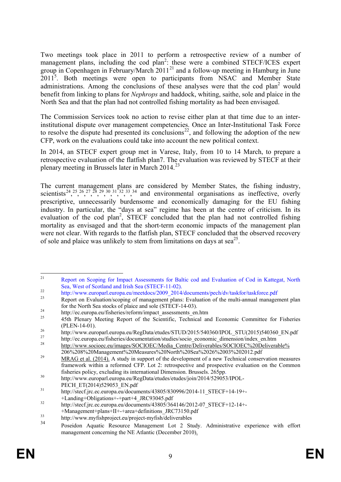Two meetings took place in 2011 to perform a retrospective review of a number of management plans, including the cod plan<sup>2</sup>: these were a combined STECF/ICES expert group in Copenhagen in February/March  $2011<sup>21</sup>$  $2011<sup>21</sup>$  $2011<sup>21</sup>$  and a follow-up meeting in Hamburg in June 2011<sup>5</sup>. Both meetings were open to participants from NSAC and Member State administrations. Among the conclusions of these analyses were that the cod plan<sup>2</sup> would benefit from linking to plans for *Nephrops* and haddock, whiting, saithe, sole and plaice in the North Sea and that the plan had not controlled fishing mortality as had been envisaged.

The Commission Services took no action to revise either plan at that time due to an interinstitutional dispute over management competencies. Once an Inter-Institutional Task Force to resolve the dispute had presented its conclusions<sup>[22](#page-9-1)</sup>, and following the adoption of the new CFP, work on the evaluations could take into account the new political context.

In 2014, an STECF expert group met in Varese, Italy, from 10 to 14 March, to prepare a retrospective evaluation of the flatfish plan7. The evaluation was reviewed by STECF at their plenary meeting in Brussels later in March 2014.[23](#page-9-2)

The current management plans are considered by Member States, the fishing industry, scientists<sup>[24](#page-9-3)</sup>, <sup>25</sup>, <sup>26</sup>, <sup>[27](#page-9-6)</sup>, <sup>28</sup>, <sup>[29](#page-9-8)</sup>, <sup>30</sup>, <sup>[31](#page-9-10)</sup>, <sup>32</sup>, <sup>[33](#page-9-12)</sup>, <sup>[34](#page-9-13)</sup> and environmental organisations as ineffective, overly prescriptive, unnecessarily burdensome and economically damaging for the EU fishing industry. In particular, the "days at sea" regime has been at the centre of criticism. In its evaluation of the cod plan<sup>2</sup>, STECF concluded that the plan had not controlled fishing mortality as envisaged and that the short-term economic impacts of the management plan were not clear. With regards to the flatfish plan, STECF concluded that the observed recovery of sole and plaice was unlikely to stem from limitations on days at  $sea^{25}$ .

<span id="page-9-0"></span><sup>&</sup>lt;sup>21</sup> [Report on Scoping for Impact Assessments for Baltic cod and Evaluation of Cod in Kattegat, North](http://stecf.jrc.ec.europa.eu/documents/43805/76311/2011-04_EWG+11-02+-+Scoping+cod+plans_JRC64951.pdf) Sea, West of Scotland and Irish Sea (STECF-11-02).

<span id="page-9-1"></span>[http://www.europarl.europa.eu/meetdocs/2009\\_2014/documents/pech/dv/taskfor/taskforce.pdf](http://www.europarl.europa.eu/meetdocs/2009_2014/documents/pech/dv/taskfor/taskforce.pdf)<br>Report on Evaluation/scoping of management plans: Evaluation of the multi-annual management plan

<span id="page-9-3"></span><span id="page-9-2"></span>[for the North Sea stocks of plaice and sole \(STECF-14-03\).](http://stecf.jrc.ec.europa.eu/documents/43805/704266/2014-04_STECF+14-03+-+NS+plaice+and+sole+management+plan_JRC89797.pdf)<br>
<sup>24</sup> [http://ec.europa.eu/fisheries/reform/impact\\_assessments\\_en.htm](http://ec.europa.eu/fisheries/reform/impact_assessments_en.htm)<br>
<sup>25</sup> 45th Plenary Meeting Report of the Scientific, Technical and Economic Committee for Fish

<span id="page-9-6"></span>

<span id="page-9-5"></span><span id="page-9-4"></span><sup>(</sup>PLEN-14-01).<br> [http://www.europarl.europa.eu/RegData/etudes/STUD/2015/540360/IPOL\\_STU\(2015\)540360\\_EN.pdf](http://www.europarl.europa.eu/RegData/etudes/STUD/2015/540360/IPOL_STU(2015)540360_EN.pdf)<br> [http://ec.europa.eu/fisheries/documentation/studies/socio\\_economic\\_dimension/index\\_en.htm](http://ec.europa.eu/fisheries/documentation/studies/socio_economic_dimension/index_en.htm)<br>
http://www.socioec.eu/ima

<span id="page-9-8"></span><span id="page-9-7"></span><sup>206%208%20</sup>Management%20Measures%20North%20Sea%2026%2003%202012.pdf <sup>29</sup> [MRAG et al. \(2014\).](http://ec.europa.eu/fisheries/documentation/studies/technical-conservation-measures/index_en.htm) A study in support of the development of a new Technical conservation measures framework within a reformed CFP. Lot 2: retrospective and prospective evaluation on the Common

<span id="page-9-9"></span>fisheries policy, excluding its international Dimension. Brussels. 265pp.<br>
30 http://www.europarl.europa.eu/RegData/etudes/etudes/join/2014/529053/IPOL-<br>
9 PECH ET(2014)529053 EN.pdf

<span id="page-9-10"></span> $P$ <sup>31</sup> [http://stecf.jrc.ec.europa.eu/documents/43805/830996/2014-11\\_STECF+14-19+-](http://stecf.jrc.ec.europa.eu/documents/43805/830996/2014-11_STECF+14-19+-+Landing+Obligations+-+part+4_JRC93045.pdf)

[<sup>+</sup>Landing+Obligations+-+part+4\\_JRC93045.pdf](http://stecf.jrc.ec.europa.eu/documents/43805/830996/2014-11_STECF+14-19+-+Landing+Obligations+-+part+4_JRC93045.pdf)<br>32 [http://stecf.jrc.ec.europa.eu/documents/43805/364146/2012-07\\_STECF+12-14+-](http://stecf.jrc.ec.europa.eu/documents/43805/364146/2012-07_STECF+12-14+-+Management+plans+II+-+area+definitions_JRC73150.pdf)

<span id="page-9-12"></span><span id="page-9-11"></span>

[<sup>+</sup>Management+plans+II+-+area+definitions\\_JRC73150.pdf](http://stecf.jrc.ec.europa.eu/documents/43805/364146/2012-07_STECF+12-14+-+Management+plans+II+-+area+definitions_JRC73150.pdf)<br><http://www.myfishproject.eu/project-myfish/deliverables>

<span id="page-9-13"></span><sup>34</sup> [Poseidon Aquatic Resource Management Lot 2 Study. Administrative experience with effort](http://www.consult-poseidon.com/fishery-reports/ECE%20642%20Poseidon%20Effort%20management%20final%20dec2010.pdf)  [management concerning the NE Atlantic \(December 2010\).](http://www.consult-poseidon.com/fishery-reports/ECE%20642%20Poseidon%20Effort%20management%20final%20dec2010.pdf)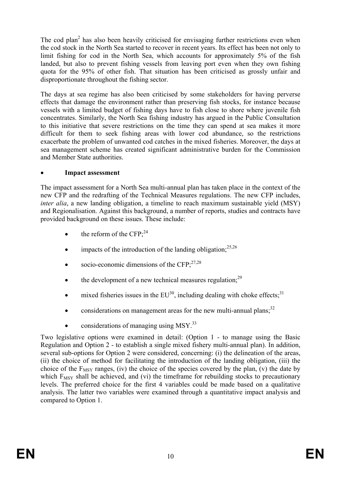The cod plan<sup>2</sup> has also been heavily criticised for envisaging further restrictions even when the cod stock in the North Sea started to recover in recent years. Its effect has been not only to limit fishing for cod in the North Sea, which accounts for approximately 5% of the fish landed, but also to prevent fishing vessels from leaving port even when they own fishing quota for the 95% of other fish. That situation has been criticised as grossly unfair and disproportionate throughout the fishing sector.

The days at sea regime has also been criticised by some stakeholders for having perverse effects that damage the environment rather than preserving fish stocks, for instance because vessels with a limited budget of fishing days have to fish close to shore where juvenile fish concentrates. Similarly, the North Sea fishing industry has argued in the Public Consultation to this initiative that severe restrictions on the time they can spend at sea makes it more difficult for them to seek fishing areas with lower cod abundance, so the restrictions exacerbate the problem of unwanted cod catches in the mixed fisheries. Moreover, the days at sea management scheme has created significant administrative burden for the Commission and Member State authorities.

## • **Impact assessment**

The impact assessment for a North Sea multi-annual plan has taken place in the context of the new CFP and the redrafting of the Technical Measures regulations. The new CFP includes, *inter alia*, a new landing obligation, a timeline to reach maximum sustainable yield (MSY) and Regionalisation. Against this background, a number of reports, studies and contracts have provided background on these issues. These include:

- the reform of the  $CFP:^{24}$
- impacts of the introduction of the landing obligation; $^{25,26}$
- socio-economic dimensions of the  $CFP<sub>1</sub><sup>27,28</sup>$
- the development of a new technical measures regulation; $^{29}$
- mixed fisheries issues in the  $EU^{30}$ , including dealing with choke effects;  $31$
- considerations on management areas for the new multi-annual plans; $^{32}$
- considerations of managing using  $MSY<sup>33</sup>$

Two legislative options were examined in detail: (Option 1 - to manage using the Basic Regulation and Option 2 - to establish a single mixed fishery multi-annual plan). In addition, several sub-options for Option 2 were considered, concerning: (i) the delineation of the areas, (ii) the choice of method for facilitating the introduction of the landing obligation, (iii) the choice of the  $F_{MSY}$  ranges, (iv) the choice of the species covered by the plan, (v) the date by which  $F_{MSY}$  shall be achieved, and (vi) the timeframe for rebuilding stocks to precautionary levels. The preferred choice for the first 4 variables could be made based on a qualitative analysis. The latter two variables were examined through a quantitative impact analysis and compared to Option 1.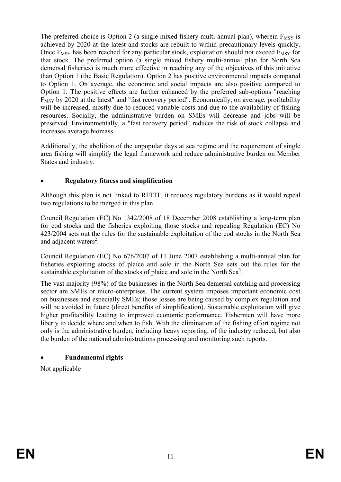The preferred choice is Option 2 (a single mixed fishery multi-annual plan), wherein  $F_{MSV}$  is achieved by 2020 at the latest and stocks are rebuilt to within precautionary levels quickly. Once  $F_{MSY}$  has been reached for any particular stock, exploitation should not exceed  $F_{MSY}$  for that stock. The preferred option (a single mixed fishery multi-annual plan for North Sea demersal fisheries) is much more effective in reaching any of the objectives of this initiative than Option 1 (the Basic Regulation). Option 2 has positive environmental impacts compared to Option 1. On average, the economic and social impacts are also positive compared to Option 1. The positive effects are further enhanced by the preferred sub-options "reaching  $F_{MSY}$  by 2020 at the latest" and "fast recovery period". Economically, on average, profitability will be increased, mostly due to reduced variable costs and due to the availability of fishing resources. Socially, the administrative burden on SMEs will decrease and jobs will be preserved. Environmentally, a "fast recovery period" reduces the risk of stock collapse and increases average biomass.

Additionally, the abolition of the unpopular days at sea regime and the requirement of single area fishing will simplify the legal framework and reduce administrative burden on Member States and industry.

## • **Regulatory fitness and simplification**

Although this plan is not linked to REFIT, it reduces regulatory burdens as it would repeal two regulations to be merged in this plan.

Council Regulation (EC) No 1342/2008 of 18 December 2008 establishing a long-term plan for cod stocks and the fisheries exploiting those stocks and repealing Regulation (EC) No 423/2004 sets out the rules for the sustainable exploitation of the cod stocks in the North Sea and adjacent waters<sup>2</sup>.

Council Regulation (EC) No 676/2007 of 11 June 2007 establishing a multi-annual plan for fisheries exploiting stocks of plaice and sole in the North Sea sets out the rules for the sustainable exploitation of the stocks of plaice and sole in the North Sea $^3$ .

The vast majority (98%) of the businesses in the North Sea demersal catching and processing sector are SMEs or micro-enterprises. The current system imposes important economic cost on businesses and especially SMEs; those losses are being caused by complex regulation and will be avoided in future (direct benefits of simplification). Sustainable exploitation will give higher profitability leading to improved economic performance. Fishermen will have more liberty to decide where and when to fish. With the elimination of the fishing effort regime not only is the administrative burden, including heavy reporting, of the industry reduced, but also the burden of the national administrations processing and monitoring such reports.

## • **Fundamental rights**

Not applicable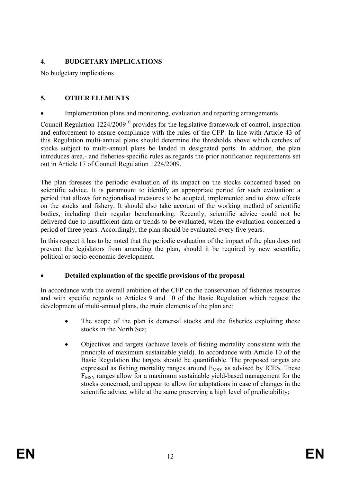## **4. BUDGETARY IMPLICATIONS**

No budgetary implications

## **5. OTHER ELEMENTS**

Implementation plans and monitoring, evaluation and reporting arrangements

Council Regulation  $1224/2009^{10}$  provides for the legislative framework of control, inspection and enforcement to ensure compliance with the rules of the CFP. In line with Article 43 of this Regulation multi-annual plans should determine the thresholds above which catches of stocks subject to multi-annual plans be landed in designated ports. In addition, the plan introduces area,- and fisheries-specific rules as regards the prior notification requirements set out in Article 17 of Council Regulation 1224/2009.

The plan foresees the periodic evaluation of its impact on the stocks concerned based on scientific advice. It is paramount to identify an appropriate period for such evaluation: a period that allows for regionalised measures to be adopted, implemented and to show effects on the stocks and fishery. It should also take account of the working method of scientific bodies, including their regular benchmarking. Recently, scientific advice could not be delivered due to insufficient data or trends to be evaluated, when the evaluation concerned a period of three years. Accordingly, the plan should be evaluated every five years.

In this respect it has to be noted that the periodic evaluation of the impact of the plan does not prevent the legislators from amending the plan, should it be required by new scientific, political or socio-economic development.

## • **Detailed explanation of the specific provisions of the proposal**

In accordance with the overall ambition of the CFP on the conservation of fisheries resources and with specific regards to Articles 9 and 10 of the Basic Regulation which request the development of multi-annual plans, the main elements of the plan are:

- The scope of the plan is demersal stocks and the fisheries exploiting those stocks in the North Sea;
- Objectives and targets (achieve levels of fishing mortality consistent with the principle of maximum sustainable yield). In accordance with Article 10 of the Basic Regulation the targets should be quantifiable. The proposed targets are expressed as fishing mortality ranges around  $F_{MSY}$  as advised by ICES. These F<sub>MSY</sub> ranges allow for a maximum sustainable yield-based management for the stocks concerned, and appear to allow for adaptations in case of changes in the scientific advice, while at the same preserving a high level of predictability;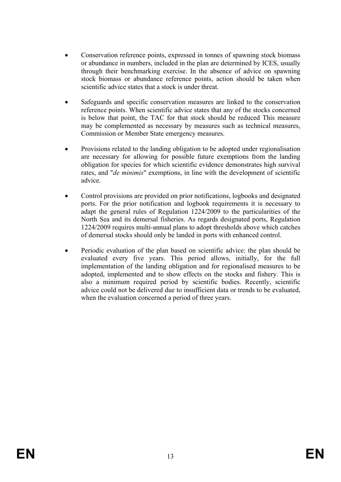- Conservation reference points, expressed in tonnes of spawning stock biomass or abundance in numbers, included in the plan are determined by ICES, usually through their benchmarking exercise. In the absence of advice on spawning stock biomass or abundance reference points, action should be taken when scientific advice states that a stock is under threat.
- Safeguards and specific conservation measures are linked to the conservation reference points. When scientific advice states that any of the stocks concerned is below that point, the TAC for that stock should be reduced This measure may be complemented as necessary by measures such as technical measures, Commission or Member State emergency measures.
- Provisions related to the landing obligation to be adopted under regionalisation are necessary for allowing for possible future exemptions from the landing obligation for species for which scientific evidence demonstrates high survival rates, and "*de minimis*" exemptions, in line with the development of scientific advice.
- Control provisions are provided on prior notifications, logbooks and designated ports. For the prior notification and logbook requirements it is necessary to adapt the general rules of Regulation 1224/2009 to the particularities of the North Sea and its demersal fisheries. As regards designated ports, Regulation 1224/2009 requires multi-annual plans to adopt thresholds above which catches of demersal stocks should only be landed in ports with enhanced control.
- Periodic evaluation of the plan based on scientific advice: the plan should be evaluated every five years. This period allows, initially, for the full implementation of the landing obligation and for regionalised measures to be adopted, implemented and to show effects on the stocks and fishery. This is also a minimum required period by scientific bodies. Recently, scientific advice could not be delivered due to insufficient data or trends to be evaluated, when the evaluation concerned a period of three years.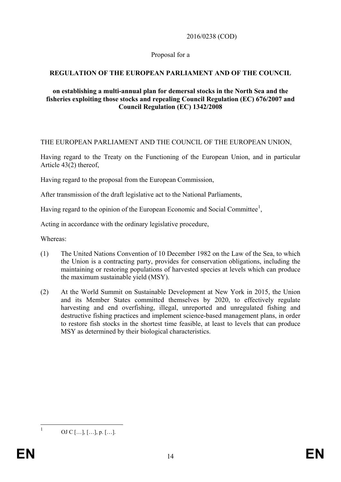## 2016/0238 (COD)

## Proposal for a

## **REGULATION OF THE EUROPEAN PARLIAMENT AND OF THE COUNCIL**

### **on establishing a multi-annual plan for demersal stocks in the North Sea and the fisheries exploiting those stocks and repealing Council Regulation (EC) 676/2007 and Council Regulation (EC) 1342/2008**

THE EUROPEAN PARLIAMENT AND THE COUNCIL OF THE EUROPEAN UNION,

Having regard to the Treaty on the Functioning of the European Union, and in particular Article 43(2) thereof,

Having regard to the proposal from the European Commission,

After transmission of the draft legislative act to the National Parliaments,

Having regard to the opinion of the European Economic and Social Committee<sup>[1](#page-14-0)</sup>,

Acting in accordance with the ordinary legislative procedure,

Whereas:

- (1) The United Nations Convention of 10 December 1982 on the Law of the Sea, to which the Union is a contracting party, provides for conservation obligations, including the maintaining or restoring populations of harvested species at levels which can produce the maximum sustainable yield (MSY).
- (2) At the World Summit on Sustainable Development at New York in 2015, the Union and its Member States committed themselves by 2020, to effectively regulate harvesting and end overfishing, illegal, unreported and unregulated fishing and destructive fishing practices and implement science-based management plans, in order to restore fish stocks in the shortest time feasible, at least to levels that can produce MSY as determined by their biological characteristics.

<span id="page-14-0"></span>

 $1$  OJ C […], […], p. […].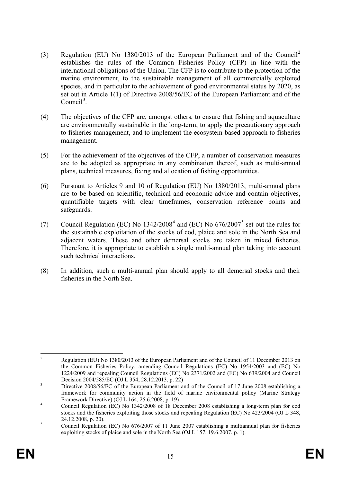- (3) Regulation (EU) No 1380/2013 of the European Parliament and of the Council[2](#page-15-0) establishes the rules of the Common Fisheries Policy (CFP) in line with the international obligations of the Union. The CFP is to contribute to the protection of the marine environment, to the sustainable management of all commercially exploited species, and in particular to the achievement of good environmental status by 2020, as set out in Article 1(1) of Directive 2008/56/EC of the European Parliament and of the Council<sup>[3](#page-15-1)</sup>.
- (4) The objectives of the CFP are, amongst others, to ensure that fishing and aquaculture are environmentally sustainable in the long-term, to apply the precautionary approach to fisheries management, and to implement the ecosystem-based approach to fisheries management.
- (5) For the achievement of the objectives of the CFP, a number of conservation measures are to be adopted as appropriate in any combination thereof, such as multi-annual plans, technical measures, fixing and allocation of fishing opportunities.
- (6) Pursuant to Articles 9 and 10 of Regulation (EU) No 1380/2013, multi-annual plans are to be based on scientific, technical and economic advice and contain objectives, quantifiable targets with clear timeframes, conservation reference points and safeguards.
- (7) Council Regulation (EC) No  $1342/2008^4$  $1342/2008^4$  $1342/2008^4$  and (EC) No  $676/2007^5$  $676/2007^5$  set out the rules for the sustainable exploitation of the stocks of cod, plaice and sole in the North Sea and adjacent waters. These and other demersal stocks are taken in mixed fisheries. Therefore, it is appropriate to establish a single multi-annual plan taking into account such technical interactions.
- (8) In addition, such a multi-annual plan should apply to all demersal stocks and their fisheries in the North Sea.

<span id="page-15-0"></span><sup>&</sup>lt;sup>2</sup> Regulation (EU) No 1380/2013 of the European Parliament and of the Council of 11 December 2013 on the Common Fisheries Policy, amending Council Regulations (EC) No 1954/2003 and (EC) No 1224/2009 and repealing Council Regulations (EC) No 2371/2002 and (EC) No 639/2004 and Council Decision 2004/585/EC (OJ L 354, 28.12.2013, p. 22)

<span id="page-15-1"></span>Directive 2008/56/EC of the European Parliament and of the Council of 17 June 2008 establishing a framework for community action in the field of marine environmental policy (Marine Strategy Framework Directive) (OJ L 164, 25.6.2008, p. 19)

<span id="page-15-2"></span>Framework Directive) (OC 2164, 26.6.2008, p. 19)  $\frac{1}{2}$  Council Regulation (EC) No 1342/2008 of 18 December 2008 establishing a long-term plan for cod stocks and the fisheries exploiting those stocks and repealing Regulation (EC) No 423/2004 (OJ L 348, 24.12.2008, p. 20).<br>
S Council Regulation (EC) No 676/2007 of 11 June 2007 establishing a multiannual plan for fisheries

<span id="page-15-3"></span>exploiting stocks of plaice and sole in the North Sea (OJ L 157, 19.6.2007, p. 1).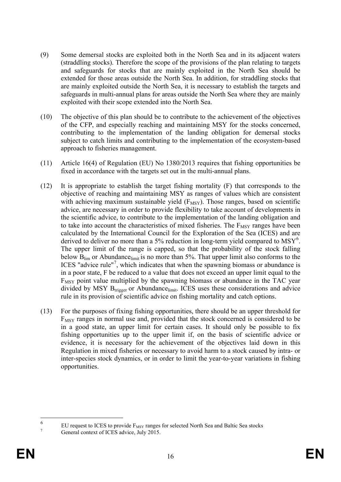- (9) Some demersal stocks are exploited both in the North Sea and in its adjacent waters (straddling stocks). Therefore the scope of the provisions of the plan relating to targets and safeguards for stocks that are mainly exploited in the North Sea should be extended for those areas outside the North Sea. In addition, for straddling stocks that are mainly exploited outside the North Sea, it is necessary to establish the targets and safeguards in multi-annual plans for areas outside the North Sea where they are mainly exploited with their scope extended into the North Sea.
- (10) The objective of this plan should be to contribute to the achievement of the objectives of the CFP, and especially reaching and maintaining MSY for the stocks concerned, contributing to the implementation of the landing obligation for demersal stocks subject to catch limits and contributing to the implementation of the ecosystem-based approach to fisheries management.
- (11) Article 16(4) of Regulation (EU) No 1380/2013 requires that fishing opportunities be fixed in accordance with the targets set out in the multi-annual plans.
- (12) It is appropriate to establish the target fishing mortality (F) that corresponds to the objective of reaching and maintaining MSY as ranges of values which are consistent with achieving maximum sustainable yield  $(F_{\text{MSY}})$ . Those ranges, based on scientific advice, are necessary in order to provide flexibility to take account of developments in the scientific advice, to contribute to the implementation of the landing obligation and to take into account the characteristics of mixed fisheries. The  $F_{MSY}$  ranges have been calculated by the International Council for the Exploration of the Sea (ICES) and are derived to deliver no more than a 5% reduction in long-term yield compared to  $MSY^6$  $MSY^6$ . The upper limit of the range is capped, so that the probability of the stock falling below B<sub>lim</sub> or Abundancelimit is no more than 5%. That upper limit also conforms to the ICES "advice rule"<sup>[7](#page-16-1)</sup>, which indicates that when the spawning biomass or abundance is in a poor state, F be reduced to a value that does not exceed an upper limit equal to the  $F_{MSY}$  point value multiplied by the spawning biomass or abundance in the TAC year divided by MSY  $B_{trigger}$  or Abundance $_{limit}$ . ICES uses these considerations and advice rule in its provision of scientific advice on fishing mortality and catch options.
- (13) For the purposes of fixing fishing opportunities, there should be an upper threshold for  $F_{MSY}$  ranges in normal use and, provided that the stock concerned is considered to be in a good state, an upper limit for certain cases. It should only be possible to fix fishing opportunities up to the upper limit if, on the basis of scientific advice or evidence, it is necessary for the achievement of the objectives laid down in this Regulation in mixed fisheries or necessary to avoid harm to a stock caused by intra- or inter-species stock dynamics, or in order to limit the year-to-year variations in fishing opportunities.

<span id="page-16-0"></span><sup>&</sup>lt;sup>6</sup> EU request to ICES to provide  $F_{MSY}$  [ranges for selected North Sea and Baltic Sea stocks](http://www.ices.dk/sites/pub/Publication%20Reports/Advice/2015/Special_Requests/EU_FMSY_ranges_for_selected_NS_and_BS_stocks.pdf) [General context of ICES advice, July 2015.](http://www.ices.dk/sites/pub/Publication%20Reports/Advice/2015/2015/General_context_of_ICES_advice_2015.pdf)

<span id="page-16-1"></span>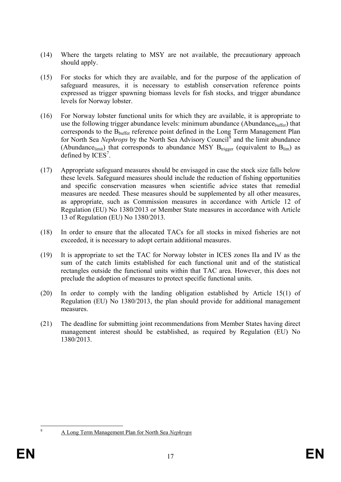- (14) Where the targets relating to MSY are not available, the precautionary approach should apply.
- (15) For stocks for which they are available, and for the purpose of the application of safeguard measures, it is necessary to establish conservation reference points expressed as trigger spawning biomass levels for fish stocks, and trigger abundance levels for Norway lobster.
- (16) For Norway lobster functional units for which they are available, it is appropriate to use the following trigger abundance levels: minimum abundance (Abundance $_{\text{buffer}}$ ) that corresponds to the B<sub>buffer</sub> reference point defined in the Long Term Management Plan for North Sea *Nephrops* by the North Sea Advisory Council<sup>[8](#page-17-0)</sup> and the limit abundance (Abundance<sub>limit</sub>) that corresponds to abundance MSY  $B_{trigger}$  (equivalent to  $B_{lim}$ ) as defined by  $ICES<sup>7</sup>$ .
- (17) Appropriate safeguard measures should be envisaged in case the stock size falls below these levels. Safeguard measures should include the reduction of fishing opportunities and specific conservation measures when scientific advice states that remedial measures are needed. These measures should be supplemented by all other measures, as appropriate, such as Commission measures in accordance with Article 12 of Regulation (EU) No 1380/2013 or Member State measures in accordance with Article 13 of Regulation (EU) No 1380/2013.
- (18) In order to ensure that the allocated TACs for all stocks in mixed fisheries are not exceeded, it is necessary to adopt certain additional measures.
- (19) It is appropriate to set the TAC for Norway lobster in ICES zones IIa and IV as the sum of the catch limits established for each functional unit and of the statistical rectangles outside the functional units within that TAC area. However, this does not preclude the adoption of measures to protect specific functional units.
- (20) In order to comply with the landing obligation established by Article 15(1) of Regulation (EU) No 1380/2013, the plan should provide for additional management measures.
- (21) The deadline for submitting joint recommendations from Member States having direct management interest should be established, as required by Regulation (EU) No 1380/2013.

<span id="page-17-0"></span>

 <sup>8</sup> [A Long Term Management Plan for North Sea](http://www.nsrac.org/category/reports/meetings-c/nfg/) *Nephrops*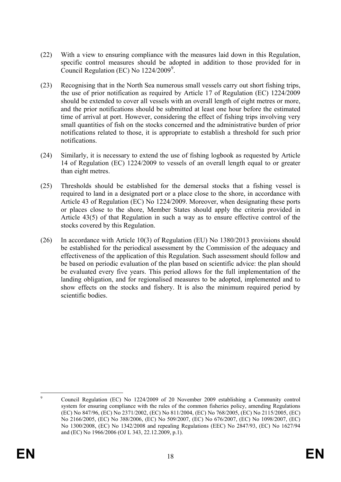- (22) With a view to ensuring compliance with the measures laid down in this Regulation, specific control measures should be adopted in addition to those provided for in Council Regulation (EC) No  $1224/2009^9$  $1224/2009^9$  $1224/2009^9$ .
- (23) Recognising that in the North Sea numerous small vessels carry out short fishing trips, the use of prior notification as required by Article 17 of Regulation (EC) 1224/2009 should be extended to cover all vessels with an overall length of eight metres or more, and the prior notifications should be submitted at least one hour before the estimated time of arrival at port. However, considering the effect of fishing trips involving very small quantities of fish on the stocks concerned and the administrative burden of prior notifications related to those, it is appropriate to establish a threshold for such prior notifications.
- (24) Similarly, it is necessary to extend the use of fishing logbook as requested by Article 14 of Regulation (EC) 1224/2009 to vessels of an overall length equal to or greater than eight metres.
- (25) Thresholds should be established for the demersal stocks that a fishing vessel is required to land in a designated port or a place close to the shore, in accordance with Article 43 of Regulation (EC) No 1224/2009. Moreover, when designating these ports or places close to the shore, Member States should apply the criteria provided in Article 43(5) of that Regulation in such a way as to ensure effective control of the stocks covered by this Regulation.
- (26) In accordance with Article 10(3) of Regulation (EU) No 1380/2013 provisions should be established for the periodical assessment by the Commission of the adequacy and effectiveness of the application of this Regulation. Such assessment should follow and be based on periodic evaluation of the plan based on scientific advice: the plan should be evaluated every five years. This period allows for the full implementation of the landing obligation, and for regionalised measures to be adopted, implemented and to show effects on the stocks and fishery. It is also the minimum required period by scientific bodies.

<span id="page-18-0"></span>

 <sup>9</sup> Council Regulation (EC) No 1224/2009 of 20 November 2009 establishing a Community control system for ensuring compliance with the rules of the common fisheries policy, amending Regulations (EC) No 847/96, (EC) No 2371/2002, (EC) No 811/2004, (EC) No 768/2005, (EC) No 2115/2005, (EC) No 2166/2005, (EC) No 388/2006, (EC) No 509/2007, (EC) No 676/2007, (EC) No 1098/2007, (EC) No 1300/2008, (EC) No 1342/2008 and repealing Regulations (EEC) No 2847/93, (EC) No 1627/94 and (EC) No 1966/2006 (OJ L 343, 22.12.2009, p.1).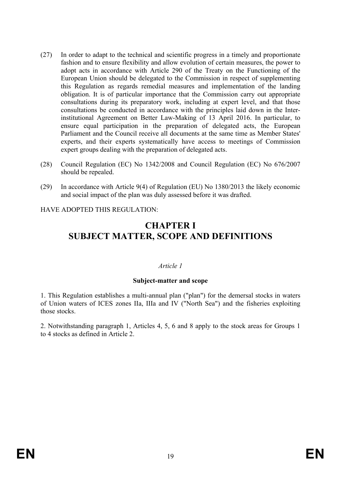- (27) In order to adapt to the technical and scientific progress in a timely and proportionate fashion and to ensure flexibility and allow evolution of certain measures, the power to adopt acts in accordance with Article 290 of the Treaty on the Functioning of the European Union should be delegated to the Commission in respect of supplementing this Regulation as regards remedial measures and implementation of the landing obligation. It is of particular importance that the Commission carry out appropriate consultations during its preparatory work, including at expert level, and that those consultations be conducted in accordance with the principles laid down in the Interinstitutional Agreement on Better Law-Making of 13 April 2016. In particular, to ensure equal participation in the preparation of delegated acts, the European Parliament and the Council receive all documents at the same time as Member States' experts, and their experts systematically have access to meetings of Commission expert groups dealing with the preparation of delegated acts.
- (28) Council Regulation (EC) No 1342/2008 and Council Regulation (EC) No 676/2007 should be repealed.
- (29) In accordance with Article 9(4) of Regulation (EU) No 1380/2013 the likely economic and social impact of the plan was duly assessed before it was drafted.

HAVE ADOPTED THIS REGULATION:

## **CHAPTER I SUBJECT MATTER, SCOPE AND DEFINITIONS**

### *Article 1*

### **Subject-matter and scope**

1. This Regulation establishes a multi-annual plan ("plan") for the demersal stocks in waters of Union waters of ICES zones IIa, IIIa and IV ("North Sea") and the fisheries exploiting those stocks.

2. Notwithstanding paragraph 1, Articles 4, 5, 6 and 8 apply to the stock areas for Groups 1 to 4 stocks as defined in Article 2.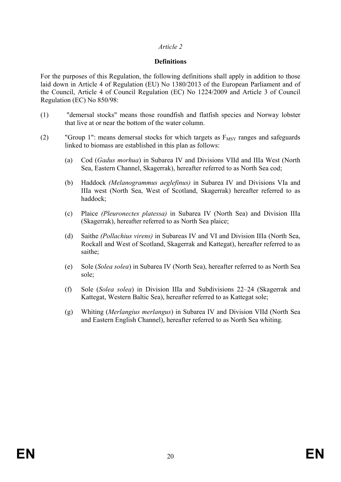## *Article 2*

### **Definitions**

For the purposes of this Regulation, the following definitions shall apply in addition to those laid down in Article 4 of Regulation (EU) No 1380/2013 of the European Parliament and of the Council, Article 4 of Council Regulation (EC) No 1224/2009 and Article 3 of Council Regulation (EC) No 850/98:

- (1) "demersal stocks" means those roundfish and flatfish species and Norway lobster that live at or near the bottom of the water column.
- (2) "Group 1": means demersal stocks for which targets as  $F_{MSY}$  ranges and safeguards linked to biomass are established in this plan as follows:
	- (a) Cod (*Gadus morhua*) in Subarea IV and Divisions VIId and IIIa West (North Sea, Eastern Channel, Skagerrak), hereafter referred to as North Sea cod;
	- (b) Haddock *(Melanogrammus aeglefinus)* in Subarea IV and Divisions VIa and IIIa west (North Sea, West of Scotland, Skagerrak) hereafter referred to as haddock;
	- (c) Plaice *(Pleuronectes platessa)* in Subarea IV (North Sea) and Division IIIa (Skagerrak), hereafter referred to as North Sea plaice;
	- (d) Saithe *(Pollachius virens)* in Subareas IV and VI and Division IIIa (North Sea, Rockall and West of Scotland, Skagerrak and Kattegat), hereafter referred to as saithe;
	- (e) Sole (*Solea solea*) in Subarea IV (North Sea), hereafter referred to as North Sea sole;
	- (f) Sole (*Solea solea*) in Division IIIa and Subdivisions 22–24 (Skagerrak and Kattegat, Western Baltic Sea), hereafter referred to as Kattegat sole;
	- (g) Whiting (*Merlangius merlangus*) in Subarea IV and Division VIId (North Sea and Eastern English Channel), hereafter referred to as North Sea whiting.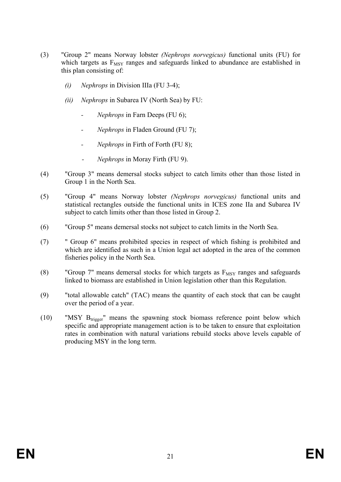- (3) "Group 2" means Norway lobster *(Nephrops norvegicus)* functional units (FU) for which targets as  $F_{MSY}$  ranges and safeguards linked to abundance are established in this plan consisting of:
	- *(i) Nephrops* in Division IIIa (FU 3-4);
	- *(ii) Nephrops* in Subarea IV (North Sea) by FU:
		- *- Nephrops* in Farn Deeps (FU 6);
		- *- Nephrops* in Fladen Ground (FU 7);
		- *- Nephrops* in Firth of Forth (FU 8);
		- *- Nephrops* in Moray Firth (FU 9).
- (4) "Group 3" means demersal stocks subject to catch limits other than those listed in Group 1 in the North Sea.
- (5) "Group 4" means Norway lobster *(Nephrops norvegicus)* functional units and statistical rectangles outside the functional units in ICES zone IIa and Subarea IV subject to catch limits other than those listed in Group 2.
- (6) "Group 5" means demersal stocks not subject to catch limits in the North Sea.
- (7) " Group 6" means prohibited species in respect of which fishing is prohibited and which are identified as such in a Union legal act adopted in the area of the common fisheries policy in the North Sea.
- (8) "Group 7" means demersal stocks for which targets as  $F_{MSV}$  ranges and safeguards linked to biomass are established in Union legislation other than this Regulation.
- (9) "total allowable catch" (TAC) means the quantity of each stock that can be caught over the period of a year.
- (10) "MSY Btrigger" means the spawning stock biomass reference point below which specific and appropriate management action is to be taken to ensure that exploitation rates in combination with natural variations rebuild stocks above levels capable of producing MSY in the long term.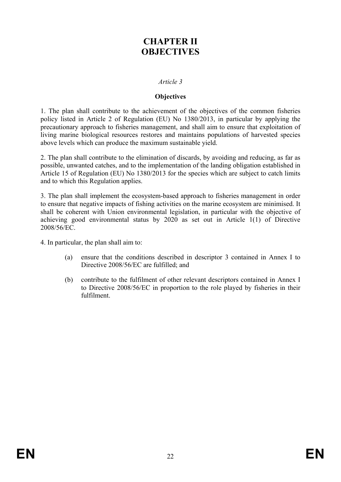# **CHAPTER II OBJECTIVES**

### *Article 3*

### **Objectives**

1. The plan shall contribute to the achievement of the objectives of the common fisheries policy listed in Article 2 of Regulation (EU) No 1380/2013, in particular by applying the precautionary approach to fisheries management, and shall aim to ensure that exploitation of living marine biological resources restores and maintains populations of harvested species above levels which can produce the maximum sustainable yield.

2. The plan shall contribute to the elimination of discards, by avoiding and reducing, as far as possible, unwanted catches, and to the implementation of the landing obligation established in Article 15 of Regulation (EU) No 1380/2013 for the species which are subject to catch limits and to which this Regulation applies.

3. The plan shall implement the ecosystem-based approach to fisheries management in order to ensure that negative impacts of fishing activities on the marine ecosystem are minimised. It shall be coherent with Union environmental legislation, in particular with the objective of achieving good environmental status by 2020 as set out in Article 1(1) of Directive 2008/56/EC.

4. In particular, the plan shall aim to:

- (a) ensure that the conditions described in descriptor 3 contained in Annex I to Directive 2008/56/EC are fulfilled; and
- (b) contribute to the fulfilment of other relevant descriptors contained in Annex I to Directive 2008/56/EC in proportion to the role played by fisheries in their fulfilment.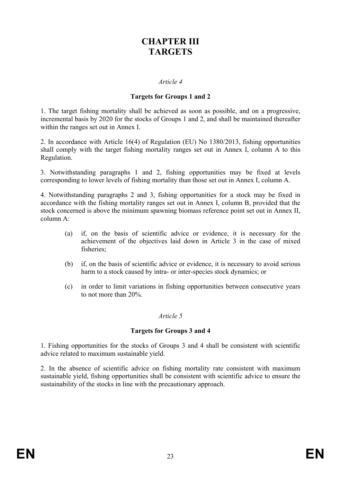# **CHAPTER III TARGETS**

### *Article 4*

### **Targets for Groups 1 and 2**

1. The target fishing mortality shall be achieved as soon as possible, and on a progressive, incremental basis by 2020 for the stocks of Groups 1 and 2, and shall be maintained thereafter within the ranges set out in Annex I.

2. In accordance with Article 16(4) of Regulation (EU) No 1380/2013, fishing opportunities shall comply with the target fishing mortality ranges set out in Annex I, column A to this Regulation.

3. Notwithstanding paragraphs 1 and 2, fishing opportunities may be fixed at levels corresponding to lower levels of fishing mortality than those set out in Annex I, column A.

4. Notwithstanding paragraphs 2 and 3, fishing opportunities for a stock may be fixed in accordance with the fishing mortality ranges set out in Annex I, column B, provided that the stock concerned is above the minimum spawning biomass reference point set out in Annex II, column A:

- (a) if, on the basis of scientific advice or evidence, it is necessary for the achievement of the objectives laid down in Article 3 in the case of mixed fisheries;
- (b) if, on the basis of scientific advice or evidence, it is necessary to avoid serious harm to a stock caused by intra- or inter-species stock dynamics; or
- (c) in order to limit variations in fishing opportunities between consecutive years to not more than 20%.

#### *Article 5*

### **Targets for Groups 3 and 4**

1. Fishing opportunities for the stocks of Groups 3 and 4 shall be consistent with scientific advice related to maximum sustainable yield.

2. In the absence of scientific advice on fishing mortality rate consistent with maximum sustainable yield, fishing opportunities shall be consistent with scientific advice to ensure the sustainability of the stocks in line with the precautionary approach.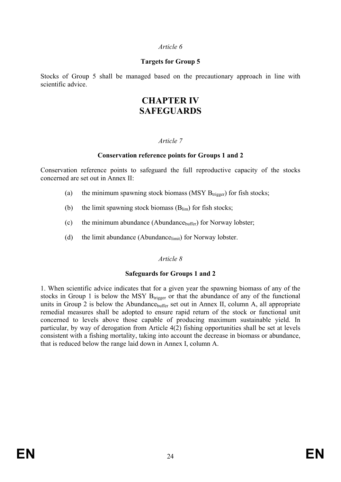### *Article 6*

## **Targets for Group 5**

Stocks of Group 5 shall be managed based on the precautionary approach in line with scientific advice.

## **CHAPTER IV SAFEGUARDS**

## *Article 7*

## **Conservation reference points for Groups 1 and 2**

Conservation reference points to safeguard the full reproductive capacity of the stocks concerned are set out in Annex II:

- (a) the minimum spawning stock biomass (MSY  $B_{trigger}$ ) for fish stocks;
- (b) the limit spawning stock biomass  $(B_{lim})$  for fish stocks;
- (c) the minimum abundance (Abundance $_{\text{buffer}}$ ) for Norway lobster;
- (d) the limit abundance (Abundance<sub>limit</sub>) for Norway lobster.

## *Article 8*

### **Safeguards for Groups 1 and 2**

1. When scientific advice indicates that for a given year the spawning biomass of any of the stocks in Group 1 is below the MSY  $B_{trigger}$  or that the abundance of any of the functional units in Group 2 is below the Abundance  $_{\text{buffer}}$  set out in Annex II, column A, all appropriate remedial measures shall be adopted to ensure rapid return of the stock or functional unit concerned to levels above those capable of producing maximum sustainable yield. In particular, by way of derogation from Article 4(2) fishing opportunities shall be set at levels consistent with a fishing mortality, taking into account the decrease in biomass or abundance, that is reduced below the range laid down in Annex I, column A.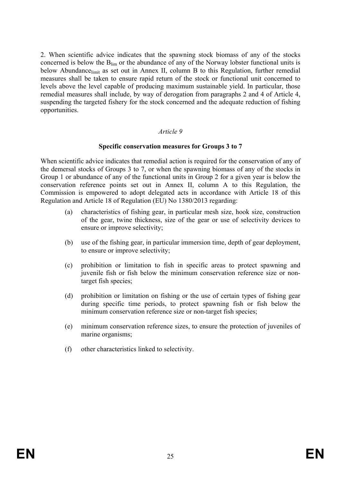2. When scientific advice indicates that the spawning stock biomass of any of the stocks concerned is below the Blim or the abundance of any of the Norway lobster functional units is below Abundancelimit as set out in Annex II, column B to this Regulation, further remedial measures shall be taken to ensure rapid return of the stock or functional unit concerned to levels above the level capable of producing maximum sustainable yield. In particular, those remedial measures shall include, by way of derogation from paragraphs 2 and 4 of Article 4, suspending the targeted fishery for the stock concerned and the adequate reduction of fishing opportunities.

### *Article 9*

#### **Specific conservation measures for Groups 3 to 7**

When scientific advice indicates that remedial action is required for the conservation of any of the demersal stocks of Groups 3 to 7, or when the spawning biomass of any of the stocks in Group 1 or abundance of any of the functional units in Group 2 for a given year is below the conservation reference points set out in Annex II, column A to this Regulation, the Commission is empowered to adopt delegated acts in accordance with Article 18 of this Regulation and Article 18 of Regulation (EU) No 1380/2013 regarding:

- (a) characteristics of fishing gear, in particular mesh size, hook size, construction of the gear, twine thickness, size of the gear or use of selectivity devices to ensure or improve selectivity;
- (b) use of the fishing gear, in particular immersion time, depth of gear deployment, to ensure or improve selectivity;
- (c) prohibition or limitation to fish in specific areas to protect spawning and juvenile fish or fish below the minimum conservation reference size or nontarget fish species;
- (d) prohibition or limitation on fishing or the use of certain types of fishing gear during specific time periods, to protect spawning fish or fish below the minimum conservation reference size or non-target fish species;
- (e) minimum conservation reference sizes, to ensure the protection of juveniles of marine organisms;
- (f) other characteristics linked to selectivity.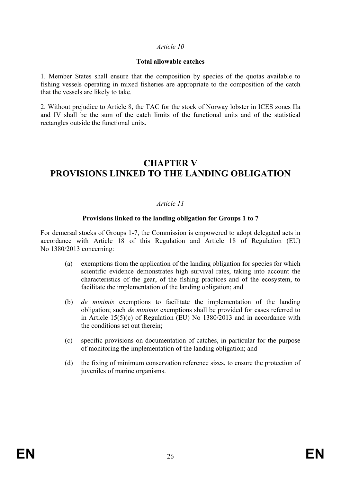### *Article 10*

### **Total allowable catches**

1. Member States shall ensure that the composition by species of the quotas available to fishing vessels operating in mixed fisheries are appropriate to the composition of the catch that the vessels are likely to take.

2. Without prejudice to Article 8, the TAC for the stock of Norway lobster in ICES zones IIa and IV shall be the sum of the catch limits of the functional units and of the statistical rectangles outside the functional units.

# **CHAPTER V PROVISIONS LINKED TO THE LANDING OBLIGATION**

## *Article 11*

## **Provisions linked to the landing obligation for Groups 1 to 7**

For demersal stocks of Groups 1-7, the Commission is empowered to adopt delegated acts in accordance with Article 18 of this Regulation and Article 18 of Regulation (EU) No 1380/2013 concerning:

- (a) exemptions from the application of the landing obligation for species for which scientific evidence demonstrates high survival rates, taking into account the characteristics of the gear, of the fishing practices and of the ecosystem, to facilitate the implementation of the landing obligation; and
- (b) *de minimis* exemptions to facilitate the implementation of the landing obligation; such *de minimis* exemptions shall be provided for cases referred to in Article 15(5)(c) of Regulation (EU) No 1380/2013 and in accordance with the conditions set out therein;
- (c) specific provisions on documentation of catches, in particular for the purpose of monitoring the implementation of the landing obligation; and
- (d) the fixing of minimum conservation reference sizes, to ensure the protection of juveniles of marine organisms.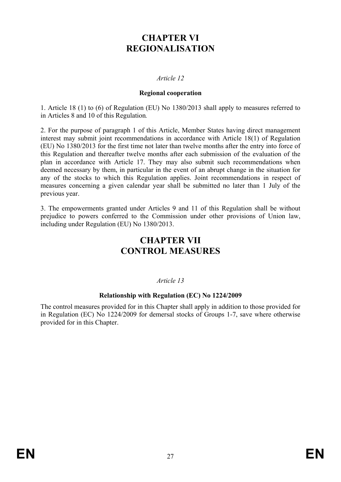# **CHAPTER VI REGIONALISATION**

## *Article 12*

### **Regional cooperation**

1. Article 18 (1) to (6) of Regulation (EU) No 1380/2013 shall apply to measures referred to in Articles 8 and 10 of this Regulation*.*

2. For the purpose of paragraph 1 of this Article, Member States having direct management interest may submit joint recommendations in accordance with Article 18(1) of Regulation (EU) No 1380/2013 for the first time not later than twelve months after the entry into force of this Regulation and thereafter twelve months after each submission of the evaluation of the plan in accordance with Article 17. They may also submit such recommendations when deemed necessary by them, in particular in the event of an abrupt change in the situation for any of the stocks to which this Regulation applies. Joint recommendations in respect of measures concerning a given calendar year shall be submitted no later than 1 July of the previous year.

3. The empowerments granted under Articles 9 and 11 of this Regulation shall be without prejudice to powers conferred to the Commission under other provisions of Union law, including under Regulation (EU) No 1380/2013.

# **CHAPTER VII CONTROL MEASURES**

## *Article 13*

### **Relationship with Regulation (EC) No 1224/2009**

The control measures provided for in this Chapter shall apply in addition to those provided for in Regulation (EC) No 1224/2009 for demersal stocks of Groups 1-7, save where otherwise provided for in this Chapter.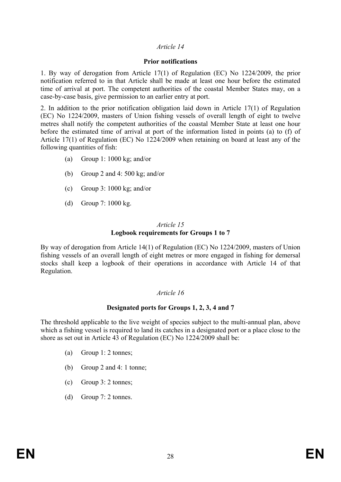## *Article 14*

### **Prior notifications**

1. By way of derogation from Article 17(1) of Regulation (EC) No 1224/2009, the prior notification referred to in that Article shall be made at least one hour before the estimated time of arrival at port. The competent authorities of the coastal Member States may, on a case-by-case basis, give permission to an earlier entry at port.

2. In addition to the prior notification obligation laid down in Article 17(1) of Regulation (EC) No 1224/2009, masters of Union fishing vessels of overall length of eight to twelve metres shall notify the competent authorities of the coastal Member State at least one hour before the estimated time of arrival at port of the information listed in points (a) to (f) of Article 17(1) of Regulation (EC) No 1224/2009 when retaining on board at least any of the following quantities of fish:

- (a) Group 1: 1000 kg; and/or
- (b) Group 2 and 4: 500 kg; and/or
- (c) Group 3: 1000 kg; and/or
- (d) Group 7: 1000 kg.

#### *Article 15* **Logbook requirements for Groups 1 to 7**

By way of derogation from Article 14(1) of Regulation (EC) No 1224/2009, masters of Union fishing vessels of an overall length of eight metres or more engaged in fishing for demersal stocks shall keep a logbook of their operations in accordance with Article 14 of that Regulation.

## *Article 16*

## **Designated ports for Groups 1, 2, 3, 4 and 7**

The threshold applicable to the live weight of species subject to the multi-annual plan, above which a fishing vessel is required to land its catches in a designated port or a place close to the shore as set out in Article 43 of Regulation (EC) No 1224/2009 shall be:

- (a) Group 1: 2 tonnes;
- (b) Group 2 and 4: 1 tonne;
- (c) Group 3: 2 tonnes;
- (d) Group 7: 2 tonnes.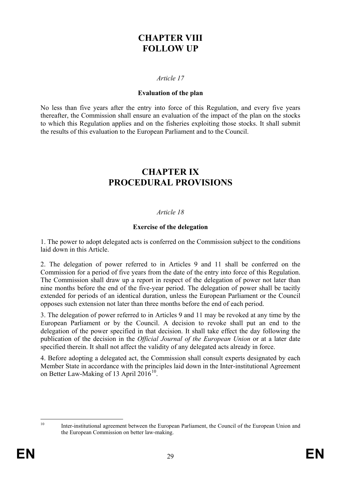# **CHAPTER VIII FOLLOW UP**

## *Article 17*

### **Evaluation of the plan**

No less than five years after the entry into force of this Regulation, and every five years thereafter, the Commission shall ensure an evaluation of the impact of the plan on the stocks to which this Regulation applies and on the fisheries exploiting those stocks. It shall submit the results of this evaluation to the European Parliament and to the Council.

## **CHAPTER IX PROCEDURAL PROVISIONS**

## *Article 18*

## **Exercise of the delegation**

1. The power to adopt delegated acts is conferred on the Commission subject to the conditions laid down in this Article.

2. The delegation of power referred to in Articles 9 and 11 shall be conferred on the Commission for a period of five years from the date of the entry into force of this Regulation. The Commission shall draw up a report in respect of the delegation of power not later than nine months before the end of the five-year period. The delegation of power shall be tacitly extended for periods of an identical duration, unless the European Parliament or the Council opposes such extension not later than three months before the end of each period.

3. The delegation of power referred to in Articles 9 and 11 may be revoked at any time by the European Parliament or by the Council. A decision to revoke shall put an end to the delegation of the power specified in that decision. It shall take effect the day following the publication of the decision in the *Official Journal of the European Union* or at a later date specified therein. It shall not affect the validity of any delegated acts already in force.

4. Before adopting a delegated act, the Commission shall consult experts designated by each Member State in accordance with the principles laid down in the Inter-institutional Agreement on Better Law-Making of 13 April  $2016^{10}$ .

<span id="page-29-0"></span><sup>&</sup>lt;sup>10</sup> Inter-institutional agreement between the European Parliament, the Council of the European Union and [the European Commission on better law-making.](http://ec.europa.eu/smart-regulation/better_regulation/documents/iia_blm_final_en.pdf)